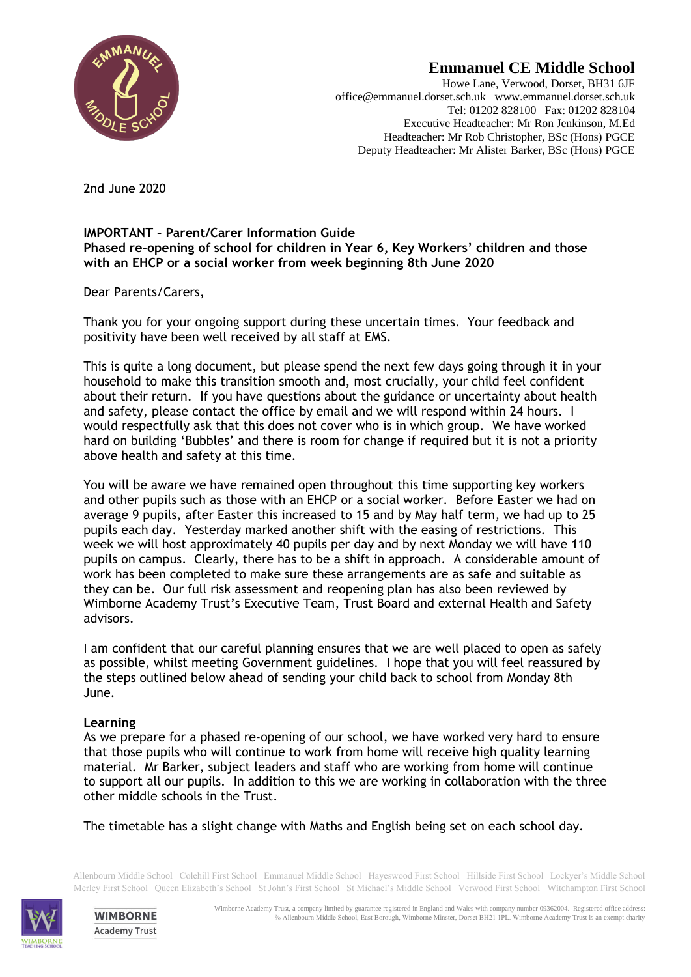

# **Emmanuel CE Middle School**

Howe Lane, Verwood, Dorset, BH31 6JF office@emmanuel.dorset.sch.uk www.emmanuel.dorset.sch.uk Tel: 01202 828100 Fax: 01202 828104 Executive Headteacher: Mr Ron Jenkinson, M.Ed Headteacher: Mr Rob Christopher, BSc (Hons) PGCE Deputy Headteacher: Mr Alister Barker, BSc (Hons) PGCE

2nd June 2020

# **IMPORTANT – Parent/Carer Information Guide Phased re-opening of school for children in Year 6, Key Workers' children and those with an EHCP or a social worker from week beginning 8th June 2020**

Dear Parents/Carers,

Thank you for your ongoing support during these uncertain times. Your feedback and positivity have been well received by all staff at EMS.

This is quite a long document, but please spend the next few days going through it in your household to make this transition smooth and, most crucially, your child feel confident about their return. If you have questions about the guidance or uncertainty about health and safety, please contact the office by email and we will respond within 24 hours. I would respectfully ask that this does not cover who is in which group. We have worked hard on building 'Bubbles' and there is room for change if required but it is not a priority above health and safety at this time.

You will be aware we have remained open throughout this time supporting key workers and other pupils such as those with an EHCP or a social worker. Before Easter we had on average 9 pupils, after Easter this increased to 15 and by May half term, we had up to 25 pupils each day. Yesterday marked another shift with the easing of restrictions. This week we will host approximately 40 pupils per day and by next Monday we will have 110 pupils on campus. Clearly, there has to be a shift in approach. A considerable amount of work has been completed to make sure these arrangements are as safe and suitable as they can be. Our full risk assessment and reopening plan has also been reviewed by Wimborne Academy Trust's Executive Team, Trust Board and external Health and Safety advisors.

I am confident that our careful planning ensures that we are well placed to open as safely as possible, whilst meeting Government guidelines. I hope that you will feel reassured by the steps outlined below ahead of sending your child back to school from Monday 8th June.

# **Learning**

As we prepare for a phased re-opening of our school, we have worked very hard to ensure that those pupils who will continue to work from home will receive high quality learning material. Mr Barker, subject leaders and staff who are working from home will continue to support all our pupils. In addition to this we are working in collaboration with the three other middle schools in the Trust.

The timetable has a slight change with Maths and English being set on each school day.

Allenbourn Middle School Colehill First School Emmanuel Middle School Hayeswood First School Hillside First School Lockyer's Middle School Merley First School Queen Elizabeth's School St John's First School St Michael's Middle School Verwood First School Witchampton First School



**WIMBORNE Academy Trust**  Wimborne Academy Trust, a company limited by guarantee registered in England and Wales with company number 09362004. Registered office address: ℅ Allenbourn Middle School, East Borough, Wimborne Minster, Dorset BH21 1PL. Wimborne Academy Trust is an exempt charity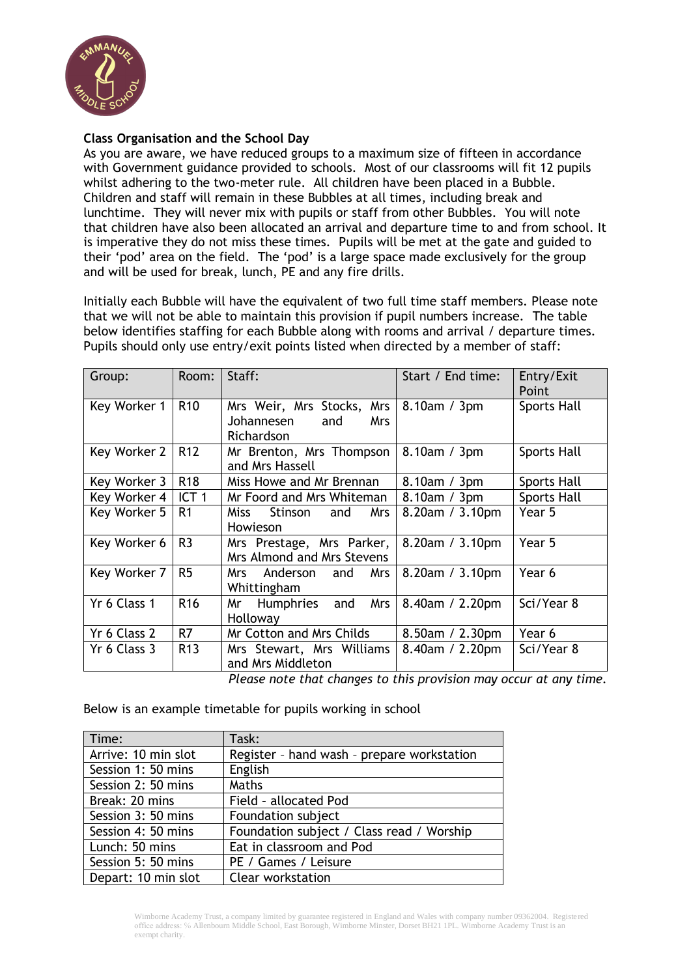

# **Class Organisation and the School Day**

As you are aware, we have reduced groups to a maximum size of fifteen in accordance with Government guidance provided to schools. Most of our classrooms will fit 12 pupils whilst adhering to the two-meter rule. All children have been placed in a Bubble. Children and staff will remain in these Bubbles at all times, including break and lunchtime. They will never mix with pupils or staff from other Bubbles. You will note that children have also been allocated an arrival and departure time to and from school. It is imperative they do not miss these times. Pupils will be met at the gate and guided to their 'pod' area on the field. The 'pod' is a large space made exclusively for the group and will be used for break, lunch, PE and any fire drills.

Initially each Bubble will have the equivalent of two full time staff members. Please note that we will not be able to maintain this provision if pupil numbers increase. The table below identifies staffing for each Bubble along with rooms and arrival / departure times. Pupils should only use entry/exit points listed when directed by a member of staff:

| Group:       | Room:            | Staff:                                                                     | Start / End time:     | Entry/Exit<br>Point |
|--------------|------------------|----------------------------------------------------------------------------|-----------------------|---------------------|
| Key Worker 1 | R <sub>10</sub>  | Mrs Weir, Mrs Stocks, Mrs<br>Johannesen<br>and<br><b>Mrs</b><br>Richardson | 8.10am / 3pm          | <b>Sports Hall</b>  |
| Key Worker 2 | R <sub>12</sub>  | Mr Brenton, Mrs Thompson<br>and Mrs Hassell                                | 8.10am / 3pm          | <b>Sports Hall</b>  |
| Key Worker 3 | R <sub>18</sub>  | Miss Howe and Mr Brennan                                                   | 8.10am / 3pm          | <b>Sports Hall</b>  |
| Key Worker 4 | ICT <sub>1</sub> | Mr Foord and Mrs Whiteman                                                  | 8.10am / 3pm          | <b>Sports Hall</b>  |
| Key Worker 5 | R <sub>1</sub>   | Stinson<br>Miss<br><b>Mrs</b><br>and<br>Howieson                           | $8.20$ am / $3.10$ pm | Year 5              |
| Key Worker 6 | R <sub>3</sub>   | Mrs Prestage, Mrs Parker,<br>Mrs Almond and Mrs Stevens                    | 8.20am / 3.10pm       | Year 5              |
| Key Worker 7 | R <sub>5</sub>   | Anderson<br><b>Mrs</b><br>Mrs<br>and<br>Whittingham                        | 8.20am / 3.10pm       | Year 6              |
| Yr 6 Class 1 | R <sub>16</sub>  | Humphries<br><b>Mrs</b><br>Mr<br>and<br>Holloway                           | $8.40$ am / 2.20pm    | Sci/Year 8          |
| Yr 6 Class 2 | R7               | Mr Cotton and Mrs Childs                                                   | $8.50$ am / 2.30pm    | Year 6              |
| Yr 6 Class 3 | R <sub>13</sub>  | Mrs Stewart, Mrs Williams<br>and Mrs Middleton                             | $8.40$ am / 2.20pm    | Sci/Year 8          |

*Please note that changes to this provision may occur at any time.*

Below is an example timetable for pupils working in school

| Time:               | Task:                                      |  |
|---------------------|--------------------------------------------|--|
| Arrive: 10 min slot | Register - hand wash - prepare workstation |  |
| Session 1: 50 mins  | English                                    |  |
| Session 2: 50 mins  | Maths                                      |  |
| Break: 20 mins      | Field - allocated Pod                      |  |
| Session 3: 50 mins  | Foundation subject                         |  |
| Session 4: 50 mins  | Foundation subject / Class read / Worship  |  |
| Lunch: 50 mins      | Eat in classroom and Pod                   |  |
| Session 5: 50 mins  | PE / Games / Leisure                       |  |
| Depart: 10 min slot | Clear workstation                          |  |

Wimborne Academy Trust, a company limited by guarantee registered in England and Wales with company number 09362004. Registered office address: ℅ Allenbourn Middle School, East Borough, Wimborne Minster, Dorset BH21 1PL. Wimborne Academy Trust is an exempt charity.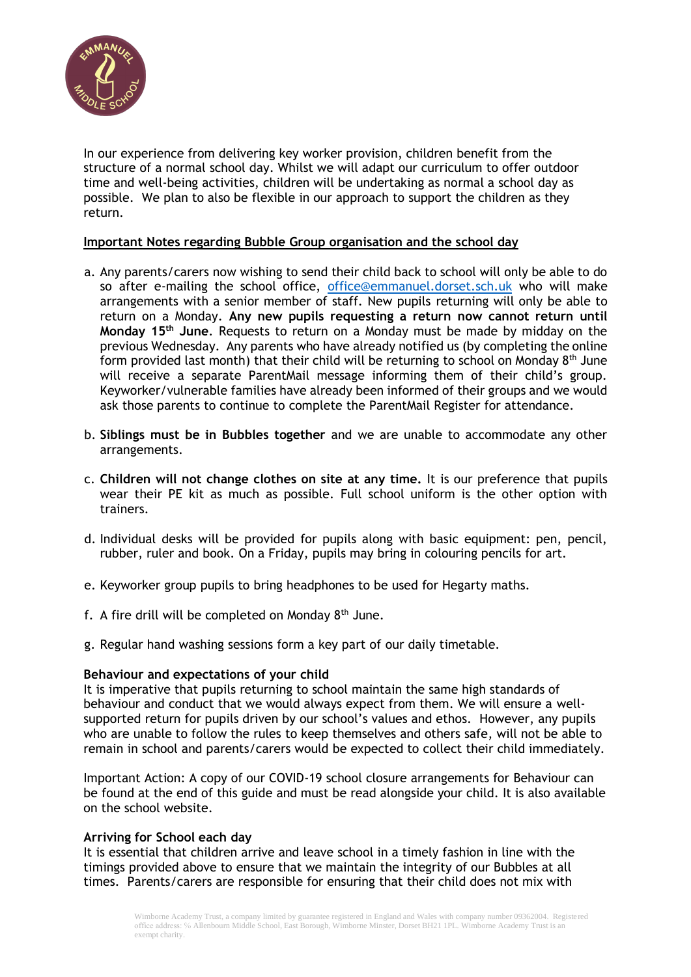

In our experience from delivering key worker provision, children benefit from the structure of a normal school day. Whilst we will adapt our curriculum to offer outdoor time and well-being activities, children will be undertaking as normal a school day as possible. We plan to also be flexible in our approach to support the children as they return.

## **Important Notes regarding Bubble Group organisation and the school day**

- a. Any parents/carers now wishing to send their child back to school will only be able to do so after e-mailing the school office, [office@emmanuel.dorset.sch.uk](mailto:office@emmanuel.dorset.sch.uk) who will make arrangements with a senior member of staff. New pupils returning will only be able to return on a Monday. **Any new pupils requesting a return now cannot return until Monday 15th June**. Requests to return on a Monday must be made by midday on the previous Wednesday. Any parents who have already notified us (by completing the online form provided last month) that their child will be returning to school on Monday  $8<sup>th</sup>$  June will receive a separate ParentMail message informing them of their child's group. Keyworker/vulnerable families have already been informed of their groups and we would ask those parents to continue to complete the ParentMail Register for attendance.
- b. **Siblings must be in Bubbles together** and we are unable to accommodate any other arrangements.
- c. **Children will not change clothes on site at any time.** It is our preference that pupils wear their PE kit as much as possible. Full school uniform is the other option with trainers.
- d. Individual desks will be provided for pupils along with basic equipment: pen, pencil, rubber, ruler and book. On a Friday, pupils may bring in colouring pencils for art.
- e. Keyworker group pupils to bring headphones to be used for Hegarty maths.
- f. A fire drill will be completed on Monday  $8<sup>th</sup>$  June.
- g. Regular hand washing sessions form a key part of our daily timetable.

#### **Behaviour and expectations of your child**

It is imperative that pupils returning to school maintain the same high standards of behaviour and conduct that we would always expect from them. We will ensure a wellsupported return for pupils driven by our school's values and ethos. However, any pupils who are unable to follow the rules to keep themselves and others safe, will not be able to remain in school and parents/carers would be expected to collect their child immediately.

Important Action: A copy of our COVID-19 school closure arrangements for Behaviour can be found at the end of this guide and must be read alongside your child. It is also available on the school website.

#### **Arriving for School each day**

It is essential that children arrive and leave school in a timely fashion in line with the timings provided above to ensure that we maintain the integrity of our Bubbles at all times. Parents/carers are responsible for ensuring that their child does not mix with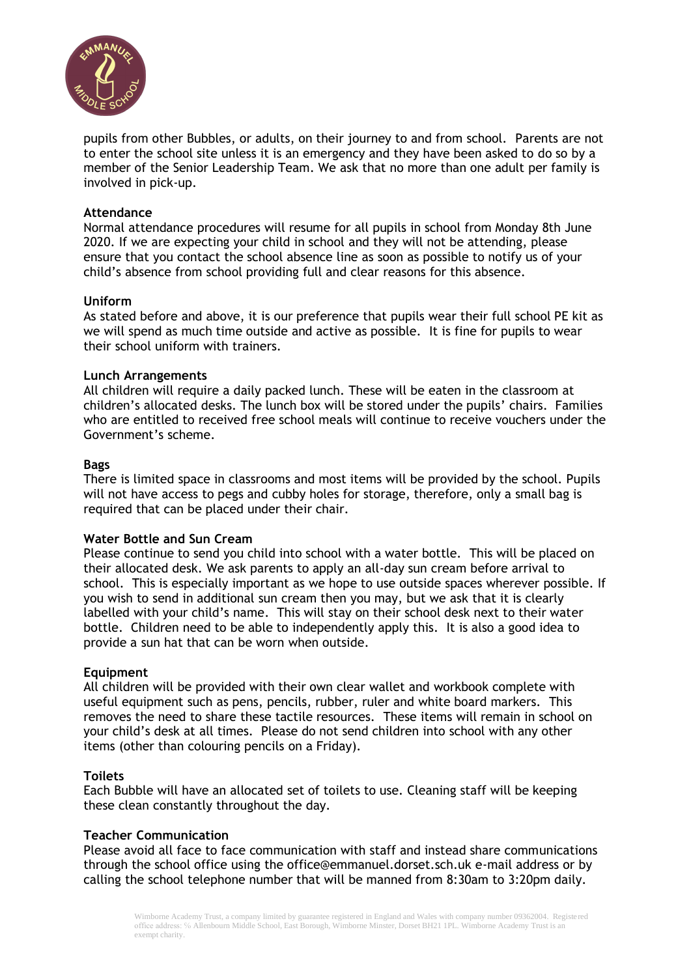

pupils from other Bubbles, or adults, on their journey to and from school. Parents are not to enter the school site unless it is an emergency and they have been asked to do so by a member of the Senior Leadership Team. We ask that no more than one adult per family is involved in pick-up.

## **Attendance**

Normal attendance procedures will resume for all pupils in school from Monday 8th June 2020. If we are expecting your child in school and they will not be attending, please ensure that you contact the school absence line as soon as possible to notify us of your child's absence from school providing full and clear reasons for this absence.

## **Uniform**

As stated before and above, it is our preference that pupils wear their full school PE kit as we will spend as much time outside and active as possible. It is fine for pupils to wear their school uniform with trainers.

## **Lunch Arrangements**

All children will require a daily packed lunch. These will be eaten in the classroom at children's allocated desks. The lunch box will be stored under the pupils' chairs. Families who are entitled to received free school meals will continue to receive vouchers under the Government's scheme.

## **Bags**

There is limited space in classrooms and most items will be provided by the school. Pupils will not have access to pegs and cubby holes for storage, therefore, only a small bag is required that can be placed under their chair.

#### **Water Bottle and Sun Cream**

Please continue to send you child into school with a water bottle. This will be placed on their allocated desk. We ask parents to apply an all-day sun cream before arrival to school. This is especially important as we hope to use outside spaces wherever possible. If you wish to send in additional sun cream then you may, but we ask that it is clearly labelled with your child's name. This will stay on their school desk next to their water bottle. Children need to be able to independently apply this. It is also a good idea to provide a sun hat that can be worn when outside.

#### **Equipment**

All children will be provided with their own clear wallet and workbook complete with useful equipment such as pens, pencils, rubber, ruler and white board markers. This removes the need to share these tactile resources. These items will remain in school on your child's desk at all times. Please do not send children into school with any other items (other than colouring pencils on a Friday).

#### **Toilets**

Each Bubble will have an allocated set of toilets to use. Cleaning staff will be keeping these clean constantly throughout the day.

## **Teacher Communication**

Please avoid all face to face communication with staff and instead share communications through the school office using the office@emmanuel.dorset.sch.uk e-mail address or by calling the school telephone number that will be manned from 8:30am to 3:20pm daily.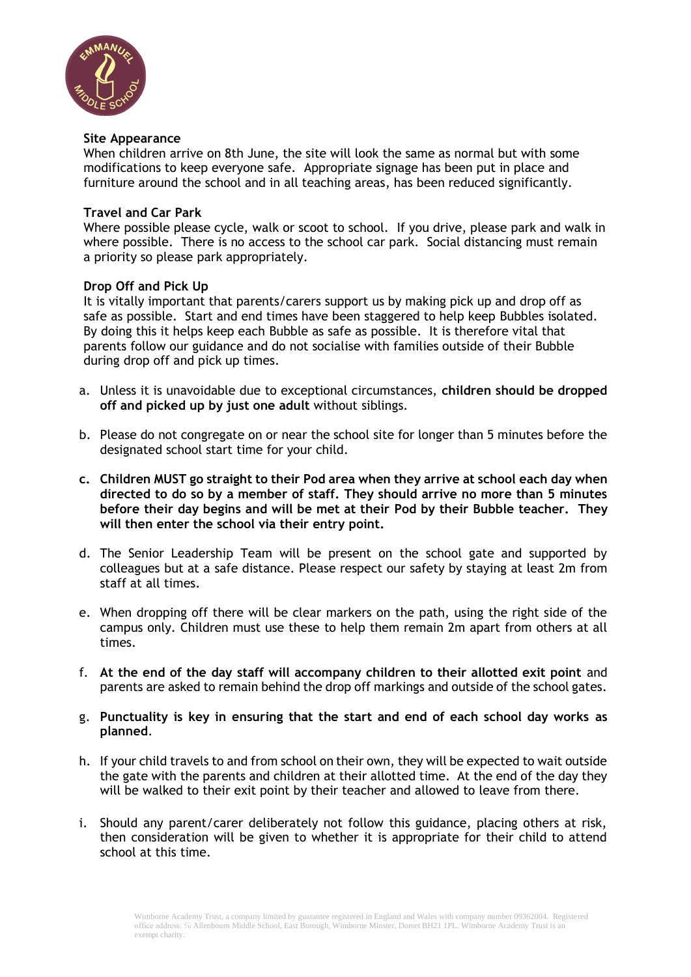

## **Site Appearance**

When children arrive on 8th June, the site will look the same as normal but with some modifications to keep everyone safe. Appropriate signage has been put in place and furniture around the school and in all teaching areas, has been reduced significantly.

## **Travel and Car Park**

Where possible please cycle, walk or scoot to school. If you drive, please park and walk in where possible. There is no access to the school car park. Social distancing must remain a priority so please park appropriately.

## **Drop Off and Pick Up**

It is vitally important that parents/carers support us by making pick up and drop off as safe as possible. Start and end times have been staggered to help keep Bubbles isolated. By doing this it helps keep each Bubble as safe as possible. It is therefore vital that parents follow our guidance and do not socialise with families outside of their Bubble during drop off and pick up times.

- a. Unless it is unavoidable due to exceptional circumstances, **children should be dropped off and picked up by just one adult** without siblings.
- b. Please do not congregate on or near the school site for longer than 5 minutes before the designated school start time for your child.
- **c. Children MUST go straight to their Pod area when they arrive at school each day when directed to do so by a member of staff. They should arrive no more than 5 minutes before their day begins and will be met at their Pod by their Bubble teacher. They will then enter the school via their entry point.**
- d. The Senior Leadership Team will be present on the school gate and supported by colleagues but at a safe distance. Please respect our safety by staying at least 2m from staff at all times.
- e. When dropping off there will be clear markers on the path, using the right side of the campus only. Children must use these to help them remain 2m apart from others at all times.
- f. **At the end of the day staff will accompany children to their allotted exit point** and parents are asked to remain behind the drop off markings and outside of the school gates.
- g. **Punctuality is key in ensuring that the start and end of each school day works as planned**.
- h. If your child travels to and from school on their own, they will be expected to wait outside the gate with the parents and children at their allotted time. At the end of the day they will be walked to their exit point by their teacher and allowed to leave from there.
- i. Should any parent/carer deliberately not follow this guidance, placing others at risk, then consideration will be given to whether it is appropriate for their child to attend school at this time.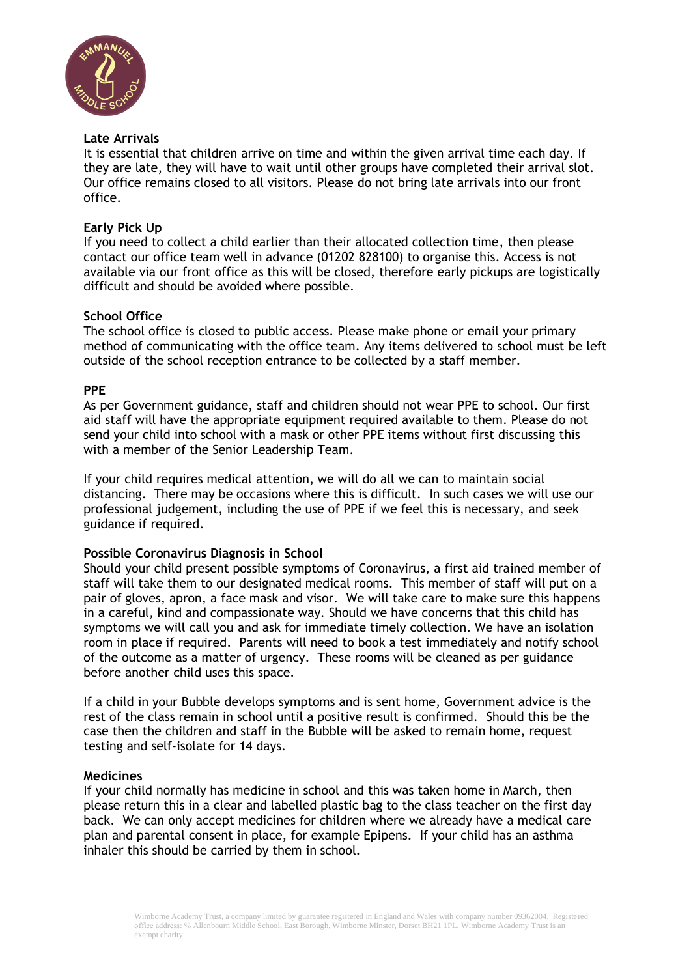

## **Late Arrivals**

It is essential that children arrive on time and within the given arrival time each day. If they are late, they will have to wait until other groups have completed their arrival slot. Our office remains closed to all visitors. Please do not bring late arrivals into our front office.

## **Early Pick Up**

If you need to collect a child earlier than their allocated collection time, then please contact our office team well in advance (01202 828100) to organise this. Access is not available via our front office as this will be closed, therefore early pickups are logistically difficult and should be avoided where possible.

#### **School Office**

The school office is closed to public access. Please make phone or email your primary method of communicating with the office team. Any items delivered to school must be left outside of the school reception entrance to be collected by a staff member.

## **PPE**

As per Government guidance, staff and children should not wear PPE to school. Our first aid staff will have the appropriate equipment required available to them. Please do not send your child into school with a mask or other PPE items without first discussing this with a member of the Senior Leadership Team.

If your child requires medical attention, we will do all we can to maintain social distancing. There may be occasions where this is difficult. In such cases we will use our professional judgement, including the use of PPE if we feel this is necessary, and seek guidance if required.

#### **Possible Coronavirus Diagnosis in School**

Should your child present possible symptoms of Coronavirus, a first aid trained member of staff will take them to our designated medical rooms. This member of staff will put on a pair of gloves, apron, a face mask and visor. We will take care to make sure this happens in a careful, kind and compassionate way. Should we have concerns that this child has symptoms we will call you and ask for immediate timely collection. We have an isolation room in place if required. Parents will need to book a test immediately and notify school of the outcome as a matter of urgency. These rooms will be cleaned as per guidance before another child uses this space.

If a child in your Bubble develops symptoms and is sent home, Government advice is the rest of the class remain in school until a positive result is confirmed. Should this be the case then the children and staff in the Bubble will be asked to remain home, request testing and self-isolate for 14 days.

#### **Medicines**

If your child normally has medicine in school and this was taken home in March, then please return this in a clear and labelled plastic bag to the class teacher on the first day back. We can only accept medicines for children where we already have a medical care plan and parental consent in place, for example Epipens. If your child has an asthma inhaler this should be carried by them in school.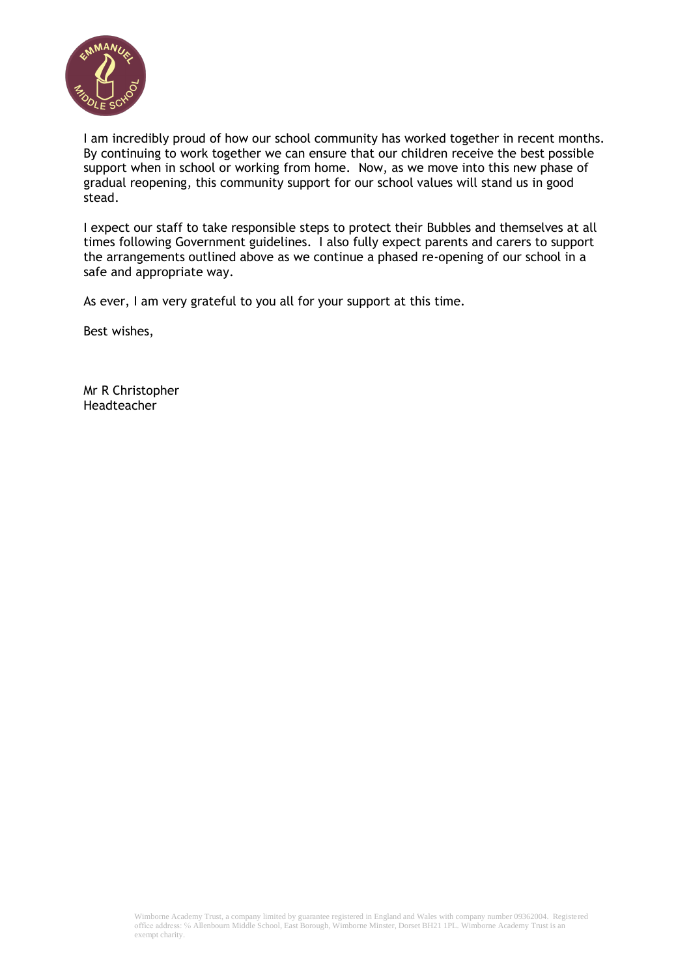

I am incredibly proud of how our school community has worked together in recent months. By continuing to work together we can ensure that our children receive the best possible support when in school or working from home. Now, as we move into this new phase of gradual reopening, this community support for our school values will stand us in good stead.

I expect our staff to take responsible steps to protect their Bubbles and themselves at all times following Government guidelines. I also fully expect parents and carers to support the arrangements outlined above as we continue a phased re-opening of our school in a safe and appropriate way.

As ever, I am very grateful to you all for your support at this time.

Best wishes,

Mr R Christopher Headteacher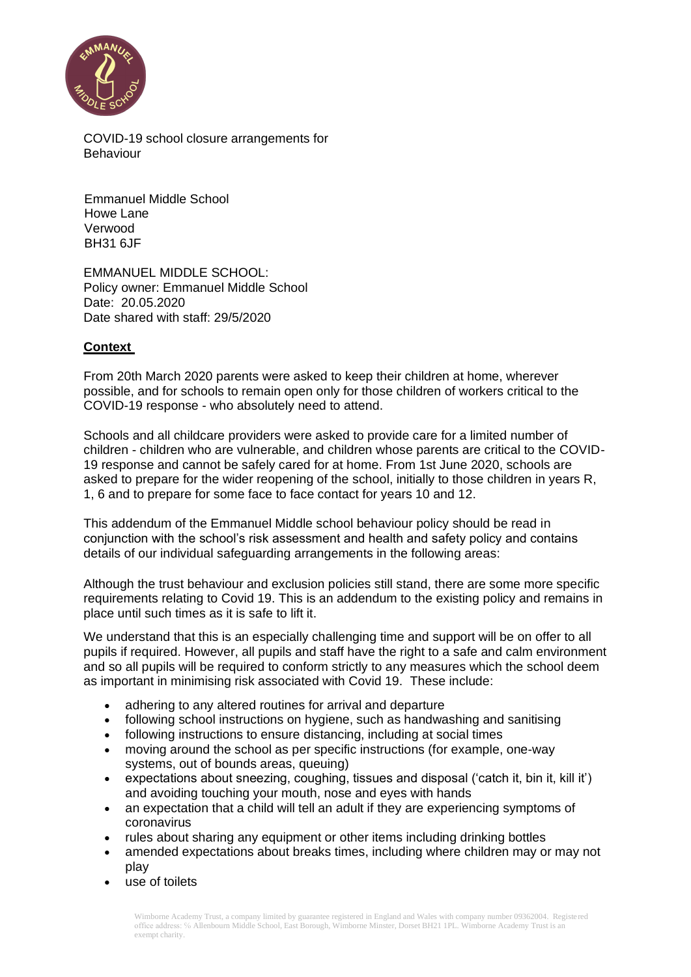

COVID-19 school closure arrangements for Behaviour

Emmanuel Middle School Howe Lane Verwood BH31 6JF

EMMANUEL MIDDLE SCHOOL: Policy owner: Emmanuel Middle School Date: 20.05.2020 Date shared with staff: 29/5/2020

# **Context**

From 20th March 2020 parents were asked to keep their children at home, wherever possible, and for schools to remain open only for those children of workers critical to the COVID-19 response - who absolutely need to attend.

Schools and all childcare providers were asked to provide care for a limited number of children - children who are vulnerable, and children whose parents are critical to the COVID-19 response and cannot be safely cared for at home. From 1st June 2020, schools are asked to prepare for the wider reopening of the school, initially to those children in years R, 1, 6 and to prepare for some face to face contact for years 10 and 12.

This addendum of the Emmanuel Middle school behaviour policy should be read in conjunction with the school's risk assessment and health and safety policy and contains details of our individual safeguarding arrangements in the following areas:

Although the trust behaviour and exclusion policies still stand, there are some more specific requirements relating to Covid 19. This is an addendum to the existing policy and remains in place until such times as it is safe to lift it.

We understand that this is an especially challenging time and support will be on offer to all pupils if required. However, all pupils and staff have the right to a safe and calm environment and so all pupils will be required to conform strictly to any measures which the school deem as important in minimising risk associated with Covid 19. These include:

- adhering to any altered routines for arrival and departure
- following school instructions on hygiene, such as handwashing and sanitising
- following instructions to ensure distancing, including at social times
- moving around the school as per specific instructions (for example, one-way systems, out of bounds areas, queuing)
- expectations about sneezing, coughing, tissues and disposal ('catch it, bin it, kill it') and avoiding touching your mouth, nose and eyes with hands
- an expectation that a child will tell an adult if they are experiencing symptoms of coronavirus
- rules about sharing any equipment or other items including drinking bottles
- amended expectations about breaks times, including where children may or may not play
- use of toilets

Wimborne Academy Trust, a company limited by guarantee registered in England and Wales with company number 09362004. Registered office address: ℅ Allenbourn Middle School, East Borough, Wimborne Minster, Dorset BH21 1PL. Wimborne Academy Trust is an exempt charity.